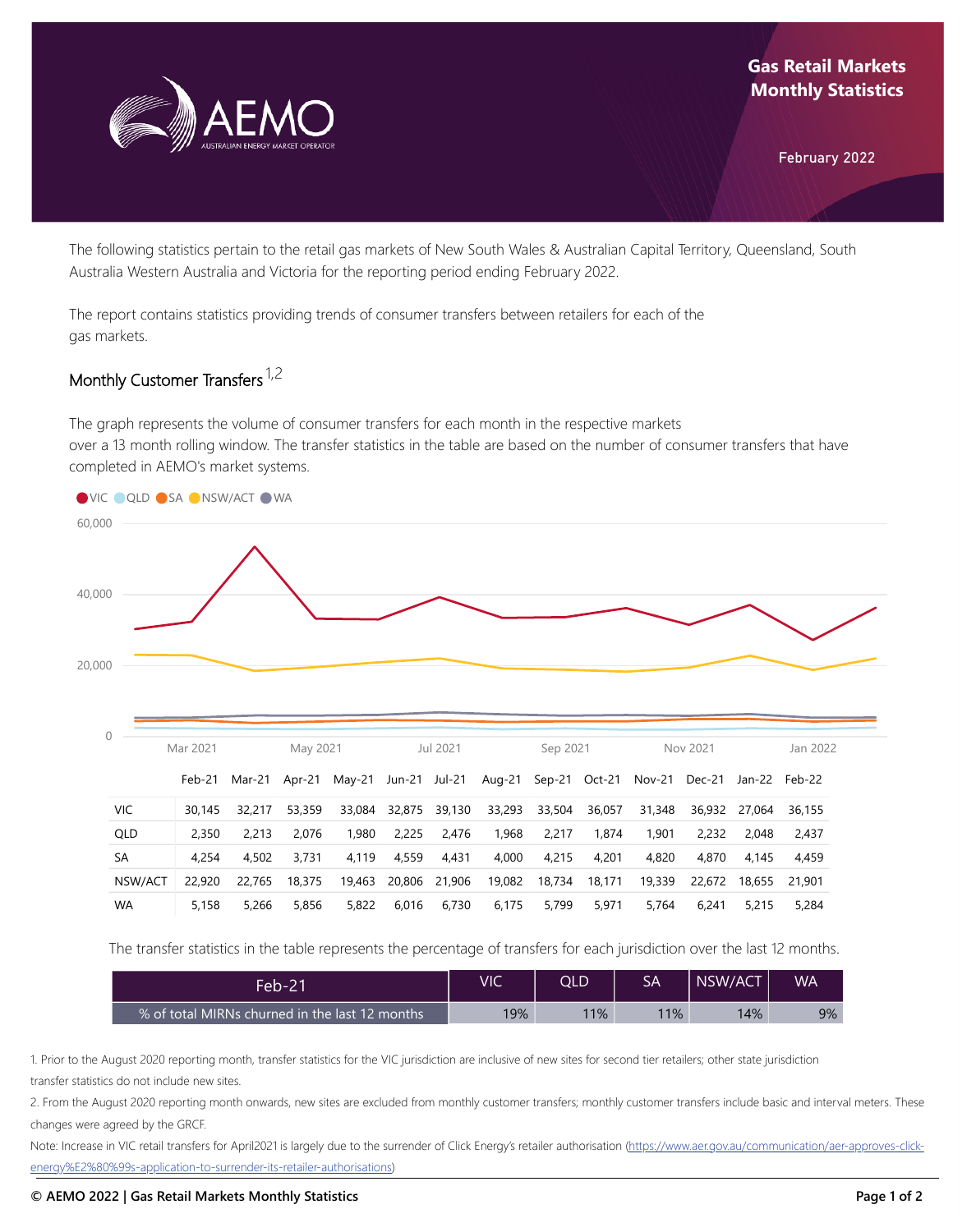

February 2022

The following statistics pertain to the retail gas markets of New South Wales & Australian Capital Territory, Queensland, South Australia Western Australia and Victoria for the reporting period ending February 2022.

The report contains statistics providing trends of consumer transfers between retailers for each of the gas markets.

## Monthly Customer Transfers <sup>1,2</sup>

The graph represents the volume of consumer transfers for each month in the respective markets over a 13 month rolling window. The transfer statistics in the table are based on the number of consumer transfers that have completed in AEMO's market systems.



The transfer statistics in the table represents the percentage of transfers for each jurisdiction over the last 12 months.

| Feb-21'                                        | VIC | QLD | SA  | NSW/ACT | <b>WA</b> |
|------------------------------------------------|-----|-----|-----|---------|-----------|
| % of total MIRNs churned in the last 12 months | 19% | 11% | 11% | 14%     | $9\%$     |

1. Prior to the August 2020 reporting month, transfer statistics for the VIC jurisdiction are inclusive of new sites for second tier retailers; other state jurisdiction transfer statistics do not include new sites.

2. From the August 2020 reporting month onwards, new sites are excluded from monthly customer transfers; monthly customer transfers include basic and interval meters. These changes were agreed by the GRCF.

Note: Increase in VIC retail transfers for April2021 is largely due to the surrender of Click Energy's retailer authorisation (https://www.aer.gov.au/communication/aer-approves-click[energy%E2%80%99s-application-to-surrender-its-retailer-authorisations\)](https://www.aer.gov.au/communication/aer-approves-click-energy%E2%80%99s-application-to-surrender-its-retailer-authorisations)